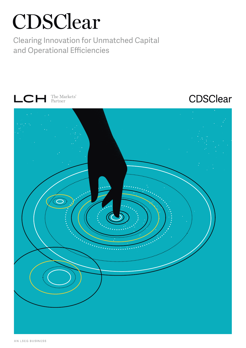# CDSClear

Clearing Innovation for Unmatched Capital and Operational Efficiencies





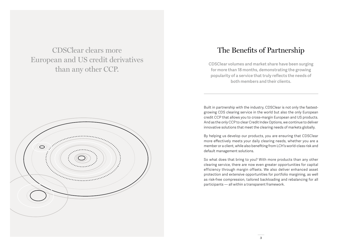CDSClear clears more European and US credit derivatives than any other CCP.



## The Benefits of Partnership

**CDSClear volumes and market share have been surging for more than 18 months, demonstrating the growing popularity of a service that truly reflects the needs of both members and their clients.**

Built in partnership with the industry, CDSClear is not only the fastestgrowing CDS clearing service in the world but also the only European credit CCP that allows you to cross-margin European and US products. And as the only CCP to clear Credit Index Options, we continue to deliver innovative solutions that meet the clearing needs of markets globally.

By helping us develop our products, you are ensuring that CDSClear more effectively meets your daily clearing needs, whether you are a member or a client, while also benefiting from LCH's world-class risk and default management solutions.

So what does that bring to you? With more products than any other clearing service, there are now even greater opportunities for capital efficiency through margin offsets. We also deliver enhanced asset protection and extensive opportunities for portfolio margining, as well as risk-free compression, tailored backloading and rebalancing for all participants — all within a transparent framework.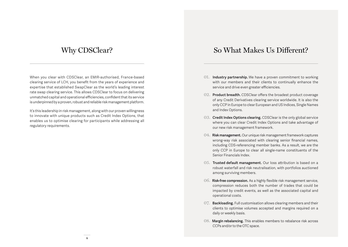When you clear with CDSClear, an EMIR-authorised, France-based clearing service of LCH, you benefit from the years of experience and expertise that established SwapClear as the world's leading interest rate swap clearing service. This allows CDSClear to focus on delivering unmatched capital and operational efficiencies, confident that its service is underpinned by a proven, robust and reliable risk management platform.

It's this leadership in risk management, along with our proven willingness to innovate with unique products such as Credit Index Options, that enables us to optimise clearing for participants while addressing all regulatory requirements.

## Why CDSClear? So What Makes Us Different?

- 01. **Industry partnership.** We have a proven commitment to working with our members and their clients to continually enhance the service and drive even greater efficiencies.
- 02. **Product breadth.** CDSClear offers the broadest product coverage of any Credit Derivatives clearing service worldwide. It is also the only CCP in Europe to clear European and US Indices, Single Names and Index Options.
- 03. **Credit Index Options clearing.** CDSClear is the only global service where you can clear Credit Index Options and take advantage of our new risk management framework.
- 04. **Risk management.** Our unique risk management framework captures wrong-way risk associated with clearing senior financial names, including CDS-referencing member banks. As a result, we are the only CCP in Europe to clear all single-name constituents of the Senior Financials Index.
- 05. **Trusted default management.** Our loss attribution is based on a robust waterfall and risk neutralisation, with portfolios auctioned among surviving members.
- 06. **Risk-free compression.** As a highly flexible risk management service, compression reduces both the number of trades that could be impacted by credit events, as well as the associated capital and operational costs.
- 07. **Backloading.** Full customisation allows clearing members and their clients to optimise volumes accepted and margins required on a daily or weekly basis.
- 08. **Margin rebalancing.** This enables members to rebalance risk across CCPs and/or to the OTC space.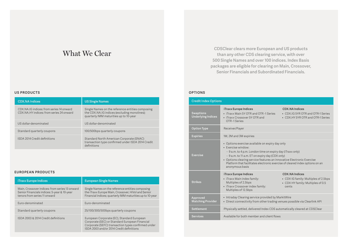## What We Clear

#### **US PRODUCTS**

| <b>CDX.NA Indices</b>                                                                | <b>US Single Names</b>                                                                                                                     |
|--------------------------------------------------------------------------------------|--------------------------------------------------------------------------------------------------------------------------------------------|
| CDX.NA.IG indices: from series 14 onward<br>CDX.NA.HY indices: from series 24 onward | Single Names on the reference entities composing<br>the CDX.NA.IG indices (excluding monolines);<br>quarterly IMM maturities up to 10-year |
| US dollar-denominated                                                                | US dollar-denominated                                                                                                                      |
| Standard quarterly coupons                                                           | 100/500bps quarterly coupons                                                                                                               |
| ISDA 2014 Credit definitions                                                         | Standard North American Corporate (SNAC)<br>transaction type confirmed under ISDA 2014 Credit<br>definitions                               |

#### **EUROPEAN PRODUCTS**

| <b>iTraxx Europe Indices</b>                                                                                                  | <b>European Single Names</b>                                                                                                                                                                   |
|-------------------------------------------------------------------------------------------------------------------------------|------------------------------------------------------------------------------------------------------------------------------------------------------------------------------------------------|
| Main, Crossover indices: from series 13 onward<br>Senior Financials indices: 5-year & 10-year<br>tenors from series 11 onward | Single Names on the reference entities composing<br>the iTraxx Europe Main, Crossover, HiVol and Senior<br>Financial indices; quarterly IMM maturities up to 10-year                           |
| Euro-denominated                                                                                                              | Euro-denominated                                                                                                                                                                               |
| Standard quarterly coupons                                                                                                    | 25/100/300/500bps quarterly coupons                                                                                                                                                            |
| ISDA 2003 & 2014 Credit definitions                                                                                           | European Corporate (EC), Standard European<br>Corporate (SEC) or Standard European Financial<br>Corporate (SEFC) transaction types confirmed under<br>ISDA 2003 and/or 2014 Credit definitions |

**CDSClear clears more European and US products than any other CDS clearing service, with over 500 Single Names and over 100 indices. Index Basis packages are eligible for clearing on Main, Crossover, Senior Financials and Subordinated Financials.**

### **OPTIONS**

| <b>Credit Index Options</b>                   |                                                                                                                                                                                                                                                                                                                                                                    |                                                                                                      |  |
|-----------------------------------------------|--------------------------------------------------------------------------------------------------------------------------------------------------------------------------------------------------------------------------------------------------------------------------------------------------------------------------------------------------------------------|------------------------------------------------------------------------------------------------------|--|
| <b>Swaptions</b><br><b>Underlying Indices</b> | iTraxx Europe Indices<br>• iTraxx Main 5Y OTR and OTR -1 Series<br>• iTraxx Crossover 5Y OTR and<br>OTR-1 Series                                                                                                                                                                                                                                                   | <b>CDX.NA Indices</b><br>• CDX.IG 5YR OTR and OTR-1 Series<br>• CDX.HY 5YR OTR and OTR-1 Series      |  |
| <b>Option Type</b>                            | Receiver/Payer                                                                                                                                                                                                                                                                                                                                                     |                                                                                                      |  |
| <b>Expiries</b>                               | 1M, 2M and 3M expiries                                                                                                                                                                                                                                                                                                                                             |                                                                                                      |  |
| Exercise                                      | • Options exercise available on expiry day only<br>• Exercise window:<br>- 9 a.m. to 4 p.m. London time on expiry day (iTraxx only)<br>- 9 a.m. to 11 a.m. ET on expiry day (CDX only)<br>• Options clearing service features an innovative Electronic Exercise<br>Platform that facilitates electronic exercise of cleared index options on an<br>anonymous basis |                                                                                                      |  |
| <b>Strikes</b>                                | iTraxx Europe Indices<br>• iTraxx Main index family:<br>Multiples of 2.5bps<br>• iTraxx Crossover index family:<br>Multiples of 12.5bps                                                                                                                                                                                                                            | CDX.NA Indices<br>• CDX IG family: Multiples of 2.5bps<br>• CDX HY family: Multiples of 0.5<br>cents |  |
| Approved<br><b>Matching Provider</b>          | • Intraday Clearing service provided by MarkitWire<br>• Direct connectivity from other trading venues possible via Clearlink API                                                                                                                                                                                                                                   |                                                                                                      |  |
| Settlement                                    | Physically settled, delivered Index CDS automatically cleared at CDSClear                                                                                                                                                                                                                                                                                          |                                                                                                      |  |
| <b>Services</b>                               | Available for both member and client flows                                                                                                                                                                                                                                                                                                                         |                                                                                                      |  |